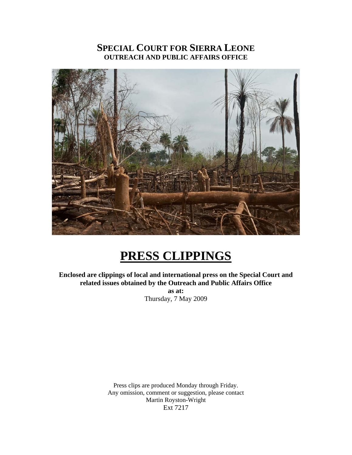# **SPECIAL COURT FOR SIERRA LEONE OUTREACH AND PUBLIC AFFAIRS OFFICE**



# **PRESS CLIPPINGS**

**Enclosed are clippings of local and international press on the Special Court and related issues obtained by the Outreach and Public Affairs Office as at:**  Thursday, 7 May 2009

> Press clips are produced Monday through Friday. Any omission, comment or suggestion, please contact Martin Royston-Wright Ext 7217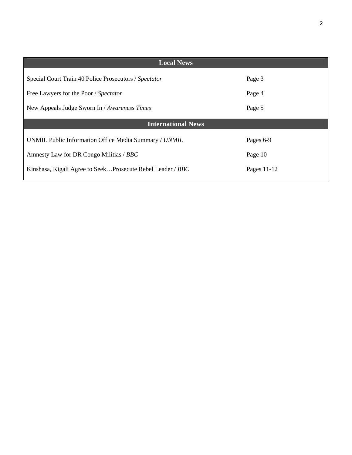| <b>Local News</b>                                          |             |
|------------------------------------------------------------|-------------|
| Special Court Train 40 Police Prosecutors / Spectator      | Page 3      |
| Free Lawyers for the Poor / Spectator                      | Page 4      |
| New Appeals Judge Sworn In / Awareness Times               | Page 5      |
| <b>International News</b>                                  |             |
|                                                            |             |
| UNMIL Public Information Office Media Summary / UNMIL      | Pages 6-9   |
|                                                            |             |
| Amnesty Law for DR Congo Militias / BBC                    | Page 10     |
| Kinshasa, Kigali Agree to SeekProsecute Rebel Leader / BBC | Pages 11-12 |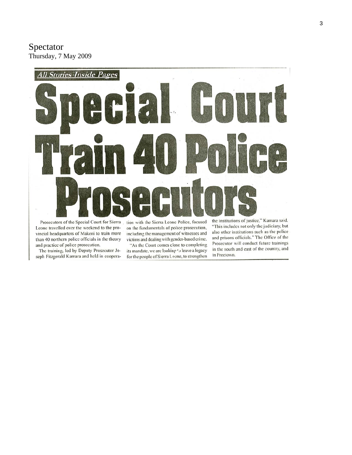Spectator Thursday, 7 May 2009



Prosecutors of the Special Court for Sierra Leone travelled over the weekend to the provincial headquarters of Makeni to train more than 40 northern police officials in the theory and practice of police prosecution.

The training, led by Deputy Prosecutor Joseph Fitzgerald Kamara and held in cooperation with the Sierra Leone Police, focused on the fundamentals of police prosecution, including the management of witnesses and victims and dealing with gender-based crime.

"As the Court comes close to completing its mandate, we are looking 's leave a legacy for the people of Sierra Leone, to strengthen "This includes not only the judiciary, but also other institutions such as the police and prisons officials." The Office of the Prosecutor will conduct future trainings in the south and east of the country, and in Freetown.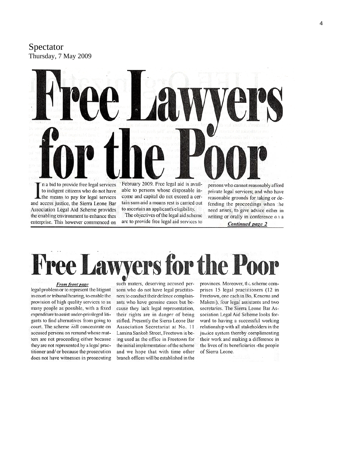Spectator Thursday, 7 May 2009



Lihe means to pay for legal services and access justice, the Sierra Leone Bar Association Legal Aid Scheme provides the enabling environment to enhance thes enterprise. This however commenced on

come and capital do not exceed a certain sum and a means rest is carried out to ascertain an applicant's eligibility.

The objectives of the legal aid scheme are to provide free legal aid services to

reasonable grounds for taking or defending the proceedings when the need arises, to give advice either in writing or orally in conference on a **Continued** page 2

awyers for the Poo

From front page legal problem or to represent the litigant in court or tribunal hearing, to enable the provision of high quality services to as many people as possible, with a fixed expenditure to assist under-privileged litigants to find alternatives from going to court. The scheme will concentrate on accused persons on remand whose matters are not proceeding either because they are not represented by a legal practitioner and/ or because the prosecution does not have witnesses in prosecuting such maters, deserving accused persons who do not have legal practitioners to conduct their defence complainants who have genuine cases but because they lack legal representation, their rights are in danger of being stifled. Presently the Sierra Leone Bar Association Secretariat at No. 11 Lamina Sankoh Street, Freetown is being used as the office in Freetown for the initial implementation of the scheme and we hope that with time other branch offices will be established in the provinces. Moreover, the scheme comprises 15 legal practitioners (12 in Freetown, one each in Bo, Kenema and Makeni), four legal assistants and two secretaries. The Sierra Leone Bar Association Legal Aid Scheme looks forward to having a successful working relationship with all stakeholders in the justice system thereby complimenting their work and making a difference in the lives of its beneficiaries - the people of Sierra Leone.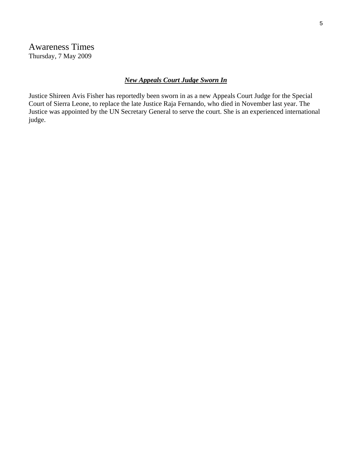# *New Appeals Court Judge Sworn In*

Justice Shireen Avis Fisher has reportedly been sworn in as a new Appeals Court Judge for the Special Court of Sierra Leone, to replace the late Justice Raja Fernando, who died in November last year. The Justice was appointed by the UN Secretary General to serve the court. She is an experienced international judge.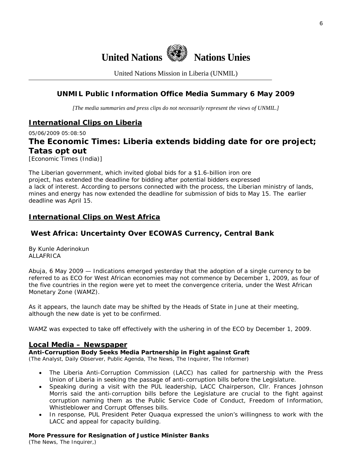

United Nations Mission in Liberia (UNMIL)

# **UNMIL Public Information Office Media Summary 6 May 2009**

*[The media summaries and press clips do not necessarily represent the views of UNMIL.]* 

# **International Clips on Liberia**

05/06/2009 05:08:50

# **The Economic Times: Liberia extends bidding date for ore project; Tatas opt out**

[Economic Times (India)]

The Liberian government, which invited global bids for a \$1.6-billion iron ore project, has extended the deadline for bidding after potential bidders expressed a lack of interest. According to persons connected with the process, the Liberian ministry of lands, mines and energy has now extended the deadline for submission of bids to May 15. The earlier deadline was April 15.

## **International Clips on West Africa**

# **West Africa: Uncertainty Over ECOWAS Currency, Central Bank**

By Kunle Aderinokun ALLAFRICA

Abuja, 6 May 2009 — Indications emerged yesterday that the adoption of a single currency to be referred to as ECO for West African economies may not commence by December 1, 2009, as four of the five countries in the region were yet to meet the convergence criteria, under the West African Monetary Zone (WAMZ).

As it appears, the launch date may be shifted by the Heads of State in June at their meeting, although the new date is yet to be confirmed.

WAMZ was expected to take off effectively with the ushering in of the ECO by December 1, 2009.

#### **Local Media – Newspaper**

**Anti-Corruption Body Seeks Media Partnership in Fight against Graft** 

(The Analyst, Daily Observer, Public Agenda, The News, The Inquirer, The Informer)

- The Liberia Anti-Corruption Commission (LACC) has called for partnership with the Press Union of Liberia in seeking the passage of anti-corruption bills before the Legislature.
- Speaking during a visit with the PUL leadership, LACC Chairperson, Cllr. Frances Johnson Morris said the anti-corruption bills before the Legislature are crucial to the fight against corruption naming them as the Public Service Code of Conduct, Freedom of Information, Whistleblower and Corrupt Offenses bills.
- In response, PUL President Peter Quaqua expressed the union's willingness to work with the LACC and appeal for capacity building.

#### **More Pressure for Resignation of Justice Minister Banks**

(The News, The Inquirer,)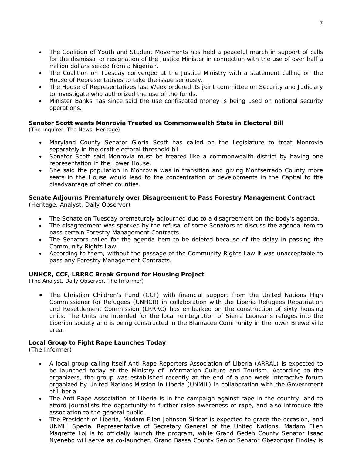- The Coalition of Youth and Student Movements has held a peaceful march in support of calls for the dismissal or resignation of the Justice Minister in connection with the use of over half a million dollars seized from a Nigerian.
- The Coalition on Tuesday converged at the Justice Ministry with a statement calling on the House of Representatives to take the issue seriously.
- The House of Representatives last Week ordered its joint committee on Security and Judiciary to investigate who authorized the use of the funds.
- Minister Banks has since said the use confiscated money is being used on national security operations.

#### **Senator Scott wants Monrovia Treated as Commonwealth State in Electoral Bill**

(The Inquirer, The News, Heritage)

- Maryland County Senator Gloria Scott has called on the Legislature to treat Monrovia separately in the draft electoral threshold bill.
- Senator Scott said Monrovia must be treated like a commonwealth district by having one representation in the Lower House.
- She said the population in Monrovia was in transition and giving Montserrado County more seats in the House would lead to the concentration of developments in the Capital to the disadvantage of other counties.

#### **Senate Adjourns Prematurely over Disagreement to Pass Forestry Management Contract**  (Heritage, Analyst, Daily Observer)

- The Senate on Tuesday prematurely adjourned due to a disagreement on the body's agenda.
- The disagreement was sparked by the refusal of some Senators to discuss the agenda item to pass certain Forestry Management Contracts.
- The Senators called for the agenda item to be deleted because of the delay in passing the Community Rights Law.
- According to them, without the passage of the Community Rights Law it was unacceptable to pass any Forestry Management Contracts.

#### **UNHCR, CCF, LRRRC Break Ground for Housing Project**

(The Analyst, Daily Observer, The Informer)

• The Christian Children's Fund (CCF) with financial support from the United Nations High Commissioner for Refugees (UNHCR) in collaboration with the Liberia Refugees Repatriation and Resettlement Commission (LRRRC) has embarked on the construction of sixty housing units. The Units are intended for the local reintegration of Sierra Leoneans refuges into the Liberian society and is being constructed in the Blamacee Community in the lower Brewerville area.

#### **Local Group to Fight Rape Launches Today**

(The Informer)

- A local group calling itself Anti Rape Reporters Association of Liberia (ARRAL) is expected to be launched today at the Ministry of Information Culture and Tourism. According to the organizers, the group was established recently at the end of a one week interactive forum organized by United Nations Mission in Liberia (UNMIL) in collaboration with the Government of Liberia.
- The Anti Rape Association of Liberia is in the campaign against rape in the country, and to afford journalists the opportunity to further raise awareness of rape, and also introduce the association to the general public.
- The President of Liberia, Madam Ellen Johnson Sirleaf is expected to grace the occasion, and UNMIL Special Representative of Secretary General of the United Nations, Madam Ellen Magrette Loj is to officially launch the program, while Grand Gedeh County Senator Isaac Nyenebo will serve as co-launcher. Grand Bassa County Senior Senator Gbezongar Findley is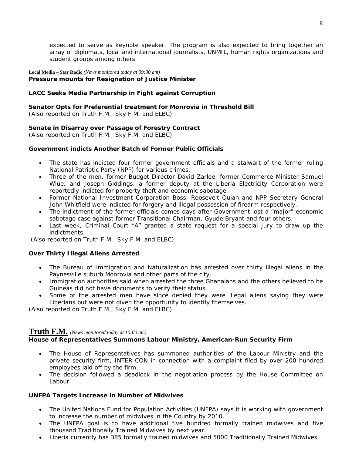expected to serve as keynote speaker. The program is also expected to bring together an array of diplomats, local and international journalists, UNMIL, human rights organizations and student groups among others.

#### **Local Media – Star Radio** *(News monitored today at 09:00 am)*  **Pressure mounts for Resignation of Justice Minister**

### **LACC Seeks Media Partnership in Fight against Corruption**

**Senator Opts for Preferential treatment for Monrovia in Threshold Bill**  *(Also reported on Truth F.M., Sky F.M. and ELBC*)

#### **Senate in Disarray over Passage of Forestry Contract**

*(Also reported on Truth F.M., Sky F.M. and ELBC*)

#### **Government indicts Another Batch of Former Public Officials**

- The state has indicted four former government officials and a stalwart of the former ruling National Patriotic Party (NPP) for various crimes.
- Three of the men, former Budget Director David Zarlee, former Commerce Minister Samuel Wlue, and Joseph Giddings, a former deputy at the Liberia Electricity Corporation were reportedly indicted for property theft and economic sabotage.
- Former National Investment Corporation Boss, Roosevelt Quiah and NPP Secretary General John Whitfield were indicted for forgery and illegal possession of firearm respectively.
- The indictment of the former officials comes days after Government lost a "major" economic sabotage case against former Transitional Chairman, Gyude Bryant and four others.
- Last week, Criminal Court "A" granted a state request for a special jury to draw up the indictments.

 *(Also reported on Truth F.M., Sky F.M. and ELBC*)

#### **Over Thirty Illegal Aliens Arrested**

- The Bureau of Immigration and Naturalization has arrested over thirty illegal aliens in the Paynesville suburb Monrovia and other parts of the city.
- Immigration authorities said when arrested the three Ghanaians and the others believed to be Guineas did not have documents to verify their status.
- Some of the arrested men have since denied they were illegal aliens saying they were Liberians but were not given the opportunity to identify themselves.

*(Also reported on Truth F.M., Sky F.M. and ELBC*)

## **Truth F.M.** *(News monitored today at 10:00 am)*

#### **House of Representatives Summons Labour Ministry, American-Run Security Firm**

- The House of Representatives has summoned authorities of the Labour Ministry and the private security firm, INTER-CON in connection with a complaint filed by over 200 hundred employees laid off by the firm.
- The decision followed a deadlock in the negotiation process by the House Committee on Labour.

#### **UNFPA Targets Increase in Number of Midwives**

- The United Nations Fund for Population Activities (UNFPA) says it is working with government to increase the number of midwives in the Country by 2010.
- The UNFPA goal is to have additional five hundred formally trained midwives and five thousand Traditionally Trained Midwives by next year.
- Liberia currently has 385 formally trained midwives and 5000 Traditionally Trained Midwives.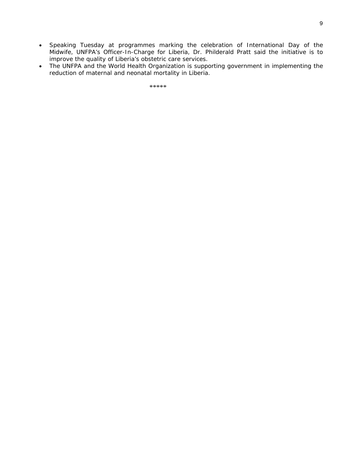- Speaking Tuesday at programmes marking the celebration of International Day of the Midwife, UNFPA's Officer-In-Charge for Liberia, Dr. Philderald Pratt said the initiative is to improve the quality of Liberia's obstetric care services.
- The UNFPA and the World Health Organization is supporting government in implementing the reduction of maternal and neonatal mortality in Liberia.

\*\*\*\*\*\*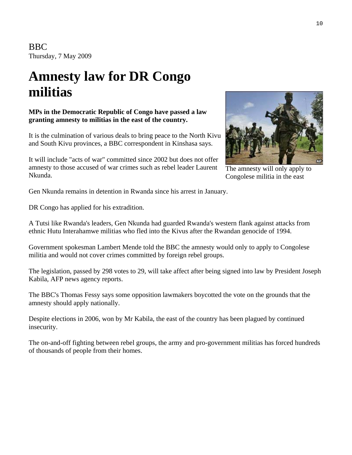BBC Thursday, 7 May 2009

# **Amnesty law for DR Congo militias**

**MPs in the Democratic Republic of Congo have passed a law granting amnesty to militias in the east of the country.**

It is the culmination of various deals to bring peace to the North Kivu and South Kivu provinces, a BBC correspondent in Kinshasa says.

It will include "acts of war" committed since 2002 but does not offer amnesty to those accused of war crimes such as rebel leader Laurent Nkunda.



The amnesty will only apply to Congolese militia in the east

Gen Nkunda remains in detention in Rwanda since his arrest in January.

DR Congo has applied for his extradition.

A Tutsi like Rwanda's leaders, Gen Nkunda had guarded Rwanda's western flank against attacks from ethnic Hutu Interahamwe militias who fled into the Kivus after the Rwandan genocide of 1994.

Government spokesman Lambert Mende told the BBC the amnesty would only to apply to Congolese militia and would not cover crimes committed by foreign rebel groups.

The legislation, passed by 298 votes to 29, will take affect after being signed into law by President Joseph Kabila, AFP news agency reports.

The BBC's Thomas Fessy says some opposition lawmakers boycotted the vote on the grounds that the amnesty should apply nationally.

Despite elections in 2006, won by Mr Kabila, the east of the country has been plagued by continued insecurity.

The on-and-off fighting between rebel groups, the army and pro-government militias has forced hundreds of thousands of people from their homes.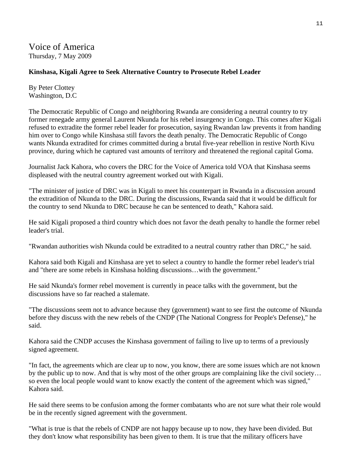Voice of America Thursday, 7 May 2009

#### **Kinshasa, Kigali Agree to Seek Alternative Country to Prosecute Rebel Leader**

By Peter Clottey Washington, D.C

The Democratic Republic of Congo and neighboring Rwanda are considering a neutral country to try former renegade army general Laurent Nkunda for his rebel insurgency in Congo. This comes after Kigali refused to extradite the former rebel leader for prosecution, saying Rwandan law prevents it from handing him over to Congo while Kinshasa still favors the death penalty. The Democratic Republic of Congo wants Nkunda extradited for crimes committed during a brutal five-year rebellion in restive North Kivu province, during which he captured vast amounts of territory and threatened the regional capital Goma.

Journalist Jack Kahora, who covers the DRC for the Voice of America told VOA that Kinshasa seems displeased with the neutral country agreement worked out with Kigali.

"The minister of justice of DRC was in Kigali to meet his counterpart in Rwanda in a discussion around the extradition of Nkunda to the DRC. During the discussions, Rwanda said that it would be difficult for the country to send Nkunda to DRC because he can be sentenced to death," Kahora said.

He said Kigali proposed a third country which does not favor the death penalty to handle the former rebel leader's trial.

"Rwandan authorities wish Nkunda could be extradited to a neutral country rather than DRC," he said.

Kahora said both Kigali and Kinshasa are yet to select a country to handle the former rebel leader's trial and "there are some rebels in Kinshasa holding discussions…with the government."

He said Nkunda's former rebel movement is currently in peace talks with the government, but the discussions have so far reached a stalemate.

"The discussions seem not to advance because they (government) want to see first the outcome of Nkunda before they discuss with the new rebels of the CNDP (The National Congress for People's Defense)," he said.

Kahora said the CNDP accuses the Kinshasa government of failing to live up to terms of a previously signed agreement.

"In fact, the agreements which are clear up to now, you know, there are some issues which are not known by the public up to now. And that is why most of the other groups are complaining like the civil society… so even the local people would want to know exactly the content of the agreement which was signed," Kahora said.

He said there seems to be confusion among the former combatants who are not sure what their role would be in the recently signed agreement with the government.

"What is true is that the rebels of CNDP are not happy because up to now, they have been divided. But they don't know what responsibility has been given to them. It is true that the military officers have